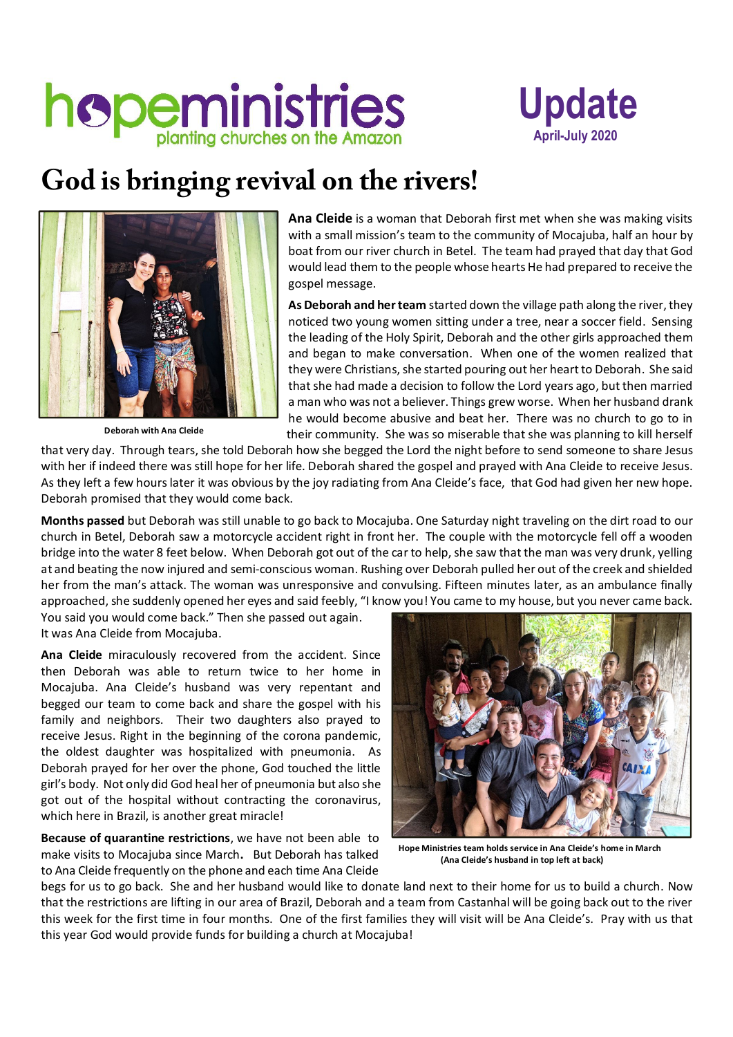## hopeministries



## **God is bringing revival on the rivers!**



 **Deborah with Ana Cleide**

**Ana Cleide** is a woman that Deborah first met when she was making visits with a small mission's team to the community of Mocajuba, half an hour by boat from our river church in Betel. The team had prayed that day that God would lead them to the people whose hearts He had prepared to receive the gospel message.

As Deborah and her team started down the village path along the river, they noticed two young women sitting under a tree, near a soccer field. Sensing the leading of the Holy Spirit, Deborah and the other girls approached them and began to make conversation. When one of the women realized that they were Christians, she started pouring out her heart to Deborah. She said that she had made a decision to follow the Lord years ago, but then married a man who was not a believer. Things grew worse. When her husband drank he would become abusive and beat her. There was no church to go to in their community. She was so miserable that she was planning to kill herself

that very day. Through tears, she told Deborah how she begged the Lord the night before to send someone to share Jesus with her if indeed there was still hope for her life. Deborah shared the gospel and prayed with Ana Cleide to receive Jesus. As they left a few hours later it was obvious by the joy radiating from Ana Cleide's face, that God had given her new hope. Deborah promised that they would come back.

**Months passed** but Deborah was still unable to go back to Mocajuba. One Saturday night traveling on the dirt road to our church in Betel, Deborah saw a motorcycle accident right in front her. The couple with the motorcycle fell off a wooden bridge into the water 8 feet below. When Deborah got out of the car to help, she saw that the man was very drunk, yelling at and beating the now injured and semi-conscious woman. Rushing over Deborah pulled her out of the creek and shielded her from the man's attack. The woman was unresponsive and convulsing. Fifteen minutes later, as an ambulance finally approached, she suddenly opened her eyes and said feebly, "I know you! You came to my house, but you never came back.

You said you would come back." Then she passed out again. It was Ana Cleide from Mocajuba.

**Ana Cleide** miraculously recovered from the accident. Since then Deborah was able to return twice to her home in Mocajuba. Ana Cleide's husband was very repentant and begged our team to come back and share the gospel with his family and neighbors. Their two daughters also prayed to receive Jesus. Right in the beginning of the corona pandemic, the oldest daughter was hospitalized with pneumonia. As Deborah prayed for her over the phone, God touched the little girl's body. Not only did God heal her of pneumonia but also she got out of the hospital without contracting the coronavirus, which here in Brazil, is another great miracle!

**Because of quarantine restrictions**, we have not been able to make visits to Mocajuba since March**.** But Deborah has talked to Ana Cleide frequently on the phone and each time Ana Cleide



**Hope Ministries team holds service in Ana Cleide's home in March (Ana Cleide's husband in top left at back)**

begs for us to go back. She and her husband would like to donate land next to their home for us to build a church. Now that the restrictions are lifting in our area of Brazil, Deborah and a team from Castanhal will be going back out to the river this week for the first time in four months. One of the first families they will visit will be Ana Cleide's. Pray with us that this year God would provide funds for building a church at Mocajuba!